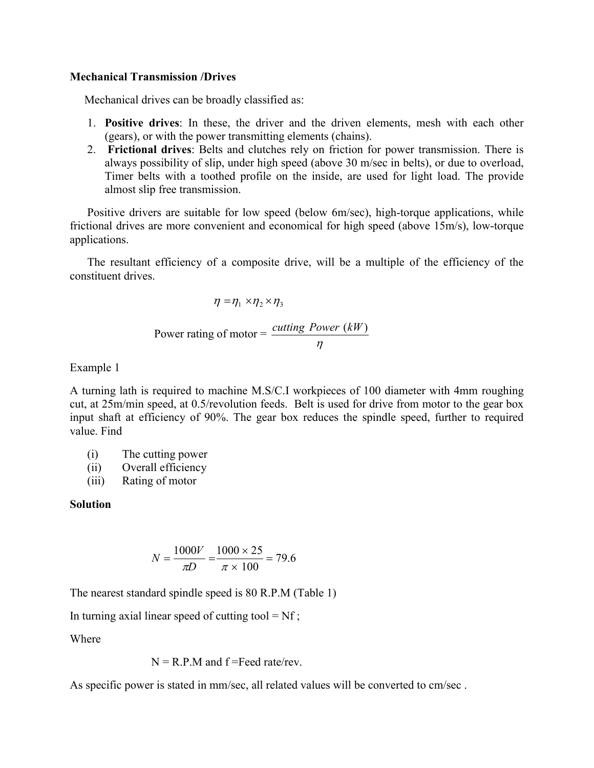## **Mechanical Transmission /Drives**

Mechanical drives can be broadly classified as:

- 1. **Positive drives**: In these, the driver and the driven elements, mesh with each other (gears), or with the power transmitting elements (chains).
- 2. **Frictional drives**: Belts and clutches rely on friction for power transmission. There is always possibility of slip, under high speed (above 30 m/sec in belts), or due to overload, Timer belts with a toothed profile on the inside, are used for light load. The provide almost slip free transmission.

Positive drivers are suitable for low speed (below 6m/sec), high-torque applications, while frictional drives are more convenient and economical for high speed (above 15m/s), low-torque applications.

The resultant efficiency of a composite drive, will be a multiple of the efficiency of the constituent drives.

$$
\eta = \eta_1 \times \eta_2 \times \eta_3
$$
  
Power rating of motor =  $\frac{\text{cutting Power (kW)}}{\eta}$ 

Example 1

A turning lath is required to machine M.S/C.I workpieces of 100 diameter with 4mm roughing cut, at 25m/min speed, at 0.5/revolution feeds. Belt is used for drive from motor to the gear box input shaft at efficiency of 90%. The gear box reduces the spindle speed, further to required value. Find

- (i) The cutting power
- (ii) Overall efficiency
- (iii) Rating of motor

# **Solution**

$$
N = \frac{1000V}{\pi D} = \frac{1000 \times 25}{\pi \times 100} = 79.6
$$

The nearest standard spindle speed is 80 R.P.M (Table 1)

In turning axial linear speed of cutting tool =  $Nf$ ;

Where

 $N = R.P.M$  and  $f = Feed$  rate/rev.

As specific power is stated in mm/sec, all related values will be converted to cm/sec .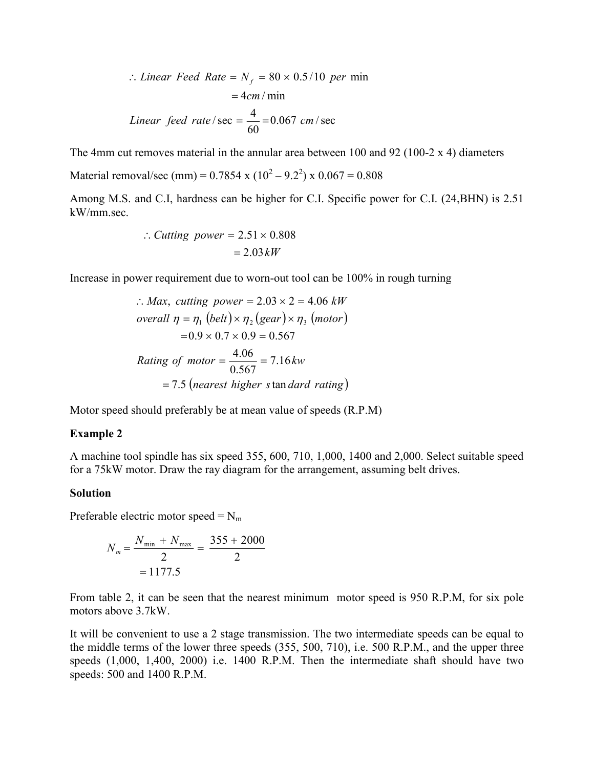$$
\therefore Linear \text{ Feed Rate} = N_f = 80 \times 0.5/10 \text{ per min}
$$

$$
= 4 \text{cm} / \text{min}
$$
  
Linear \text{ feed rate} / \text{sec} =  $\frac{4}{60}$  = 0.067 cm / \text{sec}

The 4mm cut removes material in the annular area between 100 and 92 (100-2  $\times$  4) diameters

Material removal/sec (mm) =  $0.7854 \times (10^2 - 9.2^2) \times 0.067 = 0.808$ 

Among M.S. and C.I, hardness can be higher for C.I. Specific power for C.I. (24,BHN) is 2.51 kW/mm.sec.

$$
\therefore \text{Cutting power} = 2.51 \times 0.808
$$
\n
$$
= 2.03 \, kW
$$

Increase in power requirement due to worn-out tool can be 100% in rough turning

$$
\therefore Max, cutting power = 2.03 \times 2 = 4.06 kW
$$
  
overall  $\eta = \eta_1$  (belt)  $\times \eta_2$  (gear)  $\times \eta_3$  (motor)  
= 0.9  $\times$  0.7  $\times$  0.9 = 0.567  
Rating of motor =  $\frac{4.06}{0.567}$  = 7.16 kw  
= 7.5 (nearest higher s tan dard rating)

Motor speed should preferably be at mean value of speeds (R.P.M)

#### **Example 2**

A machine tool spindle has six speed 355, 600, 710, 1,000, 1400 and 2,000. Select suitable speed for a 75kW motor. Draw the ray diagram for the arrangement, assuming belt drives.

## **Solution**

Preferable electric motor speed =  $N<sub>m</sub>$ 

$$
N_m = \frac{N_{\text{min}} + N_{\text{max}}}{2} = \frac{355 + 2000}{2}
$$

$$
= 1177.5
$$

From table 2, it can be seen that the nearest minimum motor speed is 950 R.P.M, for six pole motors above 3.7kW.

It will be convenient to use a 2 stage transmission. The two intermediate speeds can be equal to the middle terms of the lower three speeds (355, 500, 710), i.e. 500 R.P.M., and the upper three speeds (1,000, 1,400, 2000) i.e. 1400 R.P.M. Then the intermediate shaft should have two speeds: 500 and 1400 R.P.M.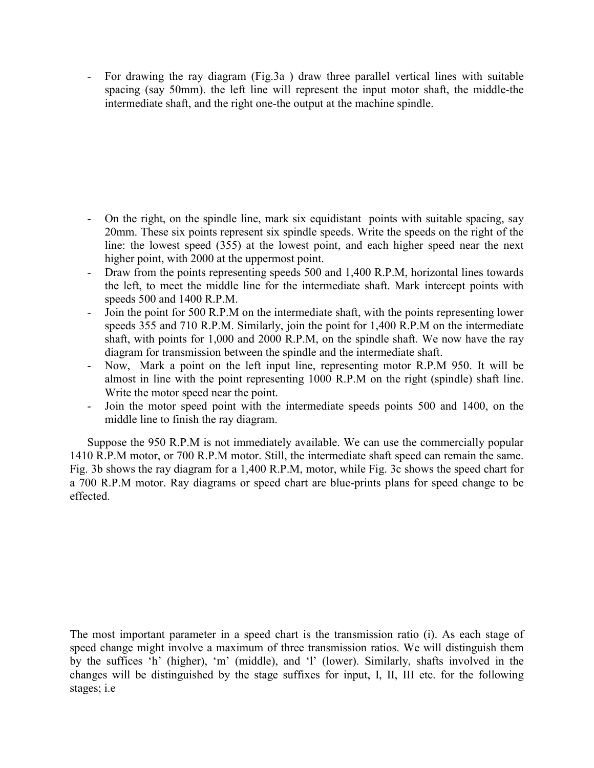- For drawing the ray diagram (Fig.3a ) draw three parallel vertical lines with suitable spacing (say 50mm). the left line will represent the input motor shaft, the middle-the intermediate shaft, and the right one-the output at the machine spindle.

- On the right, on the spindle line, mark six equidistant points with suitable spacing, say 20mm. These six points represent six spindle speeds. Write the speeds on the right of the line: the lowest speed (355) at the lowest point, and each higher speed near the next higher point, with 2000 at the uppermost point.
- Draw from the points representing speeds 500 and 1,400 R.P.M, horizontal lines towards the left, to meet the middle line for the intermediate shaft. Mark intercept points with speeds 500 and 1400 R.P.M.
- Join the point for 500 R.P.M on the intermediate shaft, with the points representing lower speeds 355 and 710 R.P.M. Similarly, join the point for 1,400 R.P.M on the intermediate shaft, with points for 1,000 and 2000 R.P.M, on the spindle shaft. We now have the ray diagram for transmission between the spindle and the intermediate shaft.
- Now, Mark a point on the left input line, representing motor R.P.M 950. It will be almost in line with the point representing 1000 R.P.M on the right (spindle) shaft line. Write the motor speed near the point.
- Join the motor speed point with the intermediate speeds points 500 and 1400, on the middle line to finish the ray diagram.

Suppose the 950 R.P.M is not immediately available. We can use the commercially popular 1410 R.P.M motor, or 700 R.P.M motor. Still, the intermediate shaft speed can remain the same. Fig. 3b shows the ray diagram for a 1,400 R.P.M, motor, while Fig. 3c shows the speed chart for a 700 R.P.M motor. Ray diagrams or speed chart are blue-prints plans for speed change to be effected.

The most important parameter in a speed chart is the transmission ratio (i). As each stage of speed change might involve a maximum of three transmission ratios. We will distinguish them by the suffices 'h' (higher), 'm' (middle), and 'l' (lower). Similarly, shafts involved in the changes will be distinguished by the stage suffixes for input, I, II, III etc. for the following stages; i.e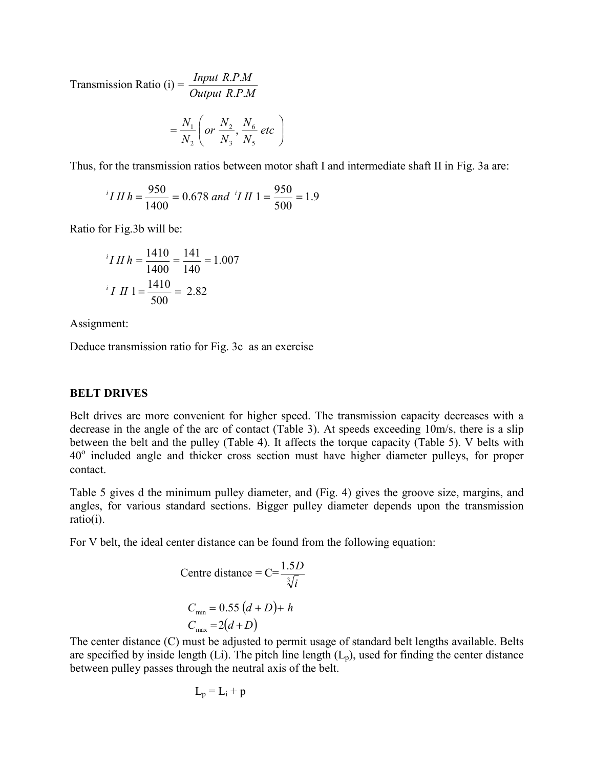Transmission Ratio (i) =  $\frac{Input \ R.P.M}{Output \ R.P.M}$ . . . .

$$
= \frac{N_1}{N_2} \left( or \frac{N_2}{N_3}, \frac{N_6}{N_5} \text{ etc.} \right)
$$

Thus, for the transmission ratios between motor shaft I and intermediate shaft II in Fig. 3a are:

$$
{}^{i}I II h = \frac{950}{1400} = 0.678 \text{ and } {}^{i}I II 1 = \frac{950}{500} = 1.9
$$

Ratio for Fig.3b will be:

$$
{}^{i}I II h = \frac{1410}{1400} = \frac{141}{140} = 1.007
$$

$$
{}^{i}I II 1 = \frac{1410}{500} = 2.82
$$

Assignment:

Deduce transmission ratio for Fig. 3c as an exercise

## **BELT DRIVES**

Belt drives are more convenient for higher speed. The transmission capacity decreases with a decrease in the angle of the arc of contact (Table 3). At speeds exceeding 10m/s, there is a slip between the belt and the pulley (Table 4). It affects the torque capacity (Table 5). V belts with 40<sup>o</sup> included angle and thicker cross section must have higher diameter pulleys, for proper contact.

Table 5 gives d the minimum pulley diameter, and (Fig. 4) gives the groove size, margins, and angles, for various standard sections. Bigger pulley diameter depends upon the transmission ratio(i).

For V belt, the ideal center distance can be found from the following equation:

Centre distance = C=
$$
\frac{1.5D}{\sqrt[3]{i}}
$$
  
\n $C_{min} = 0.55 (d + D) + h$   
\n $C_{max} = 2(d + D)$ 

The center distance (C) must be adjusted to permit usage of standard belt lengths available. Belts are specified by inside length (Li). The pitch line length  $(L_p)$ , used for finding the center distance between pulley passes through the neutral axis of the belt.

$$
L_p = L_i + p
$$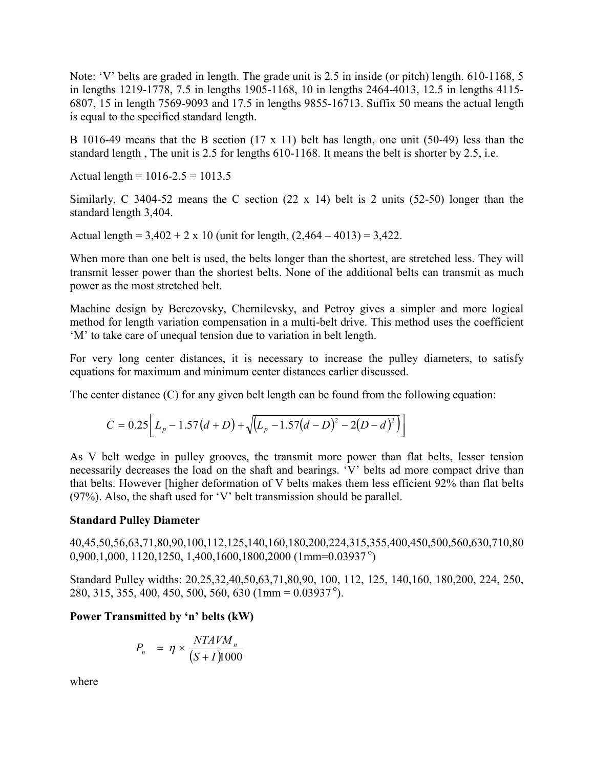Note: 'V' belts are graded in length. The grade unit is 2.5 in inside (or pitch) length. 610-1168, 5 in lengths 1219-1778, 7.5 in lengths 1905-1168, 10 in lengths 2464-4013, 12.5 in lengths 4115- 6807, 15 in length 7569-9093 and 17.5 in lengths 9855-16713. Suffix 50 means the actual length is equal to the specified standard length.

B 1016-49 means that the B section (17 x 11) belt has length, one unit (50-49) less than the standard length , The unit is 2.5 for lengths 610-1168. It means the belt is shorter by 2.5, i.e.

Actual length =  $1016 - 2.5 = 1013.5$ 

Similarly, C 3404-52 means the C section (22 x 14) belt is 2 units (52-50) longer than the standard length 3,404.

Actual length =  $3,402 + 2 \times 10$  (unit for length,  $(2,464 - 4013) = 3,422$ .

When more than one belt is used, the belts longer than the shortest, are stretched less. They will transmit lesser power than the shortest belts. None of the additional belts can transmit as much power as the most stretched belt.

Machine design by Berezovsky, Chernilevsky, and Petroy gives a simpler and more logical method for length variation compensation in a multi-belt drive. This method uses the coefficient 'M' to take care of unequal tension due to variation in belt length.

For very long center distances, it is necessary to increase the pulley diameters, to satisfy equations for maximum and minimum center distances earlier discussed.

The center distance (C) for any given belt length can be found from the following equation:

$$
C = 0.25 \left[ L_p - 1.57 \left( d + D \right) + \sqrt{\left( L_p - 1.57 \left( d - D \right)^2 - 2(D - d)^2 \right)} \right]
$$

As V belt wedge in pulley grooves, the transmit more power than flat belts, lesser tension necessarily decreases the load on the shaft and bearings. 'V' belts ad more compact drive than that belts. However [higher deformation of V belts makes them less efficient 92% than flat belts (97%). Also, the shaft used for 'V' belt transmission should be parallel.

# **Standard Pulley Diameter**

40,45,50,56,63,71,80,90,100,112,125,140,160,180,200,224,315,355,400,450,500,560,630,710,80 0,900,1,000, 1120,1250, 1,400,1600,1800,2000 (1mm=0.03937<sup>o</sup>)

Standard Pulley widths: 20,25,32,40,50,63,71,80,90, 100, 112, 125, 140,160, 180,200, 224, 250, 280, 315, 355, 400, 450, 500, 560, 630 (1mm =  $0.03937^{\circ}$ ).

# **Power Transmitted by 'n' belts (kW)**

$$
P_n = \eta \times \frac{NTAVM_n}{(S+I)1000}
$$

where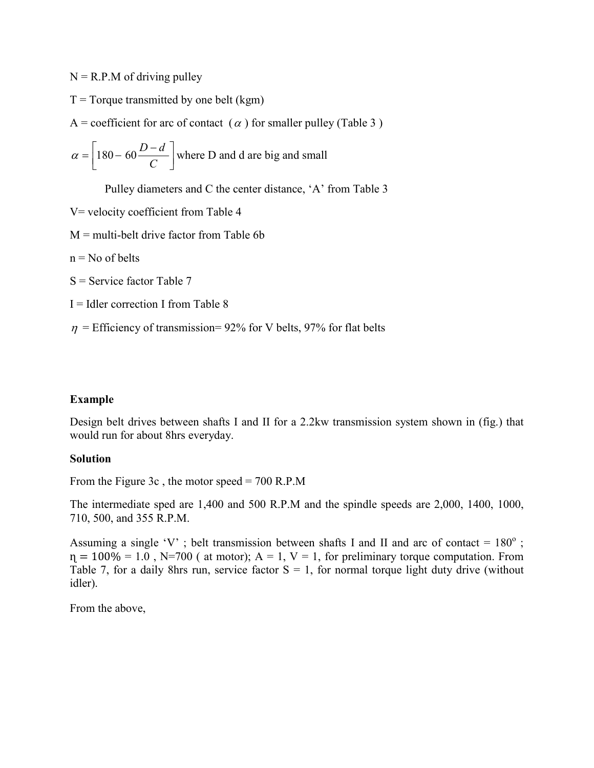$N = R.P.M of driving pulley$ 

 $T = T$ orque transmitted by one belt (kgm)

A = coefficient for arc of contact ( $\alpha$ ) for smaller pulley (Table 3)

$$
\alpha = \left[180 - 60 \frac{D - d}{C}\right]
$$
 where D and d are big and small

Pulley diameters and C the center distance, 'A' from Table 3

- V= velocity coefficient from Table 4
- $M =$  multi-belt drive factor from Table 6b

 $n = No$  of belts

- $S =$  Service factor Table 7
- $I = Idler correction I from Table 8$
- $\eta$  = Efficiency of transmission= 92% for V belts, 97% for flat belts

## **Example**

Design belt drives between shafts I and II for a 2.2kw transmission system shown in (fig.) that would run for about 8hrs everyday.

### **Solution**

From the Figure 3c, the motor speed  $= 700$  R.P.M

The intermediate sped are 1,400 and 500 R.P.M and the spindle speeds are 2,000, 1400, 1000, 710, 500, and 355 R.P.M.

Assuming a single 'V' ; belt transmission between shafts I and II and arc of contact =  $180^\circ$  ;  $\eta = 100\% = 1.0$ , N=700 ( at motor); A = 1, V = 1, for preliminary torque computation. From Table 7, for a daily 8hrs run, service factor  $S = 1$ , for normal torque light duty drive (without idler).

From the above,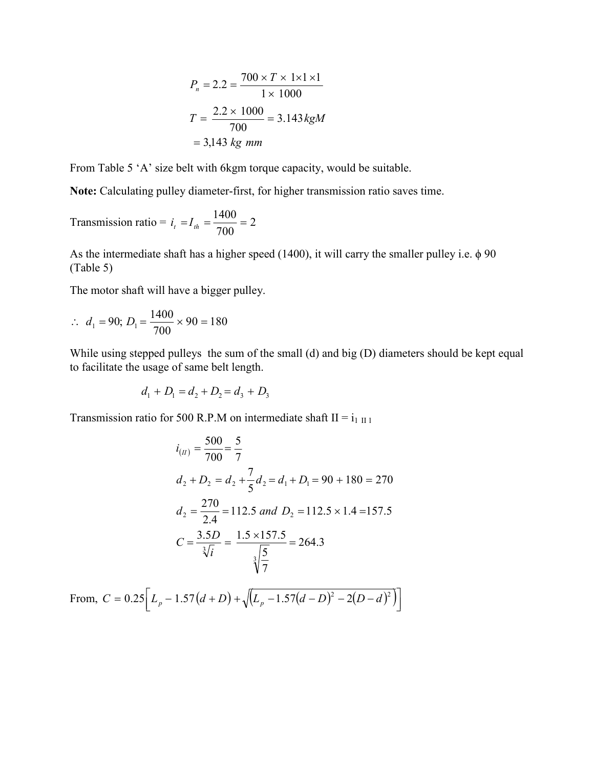$$
P_n = 2.2 = \frac{700 \times T \times 1 \times 1 \times 1}{1 \times 1000}
$$

$$
T = \frac{2.2 \times 1000}{700} = 3.143 \, kgM
$$

$$
= 3,143 \, kg \, mm
$$

From Table 5 'A' size belt with 6kgm torque capacity, would be suitable.

**Note:** Calculating pulley diameter-first, for higher transmission ratio saves time.

Transmission ratio = 
$$
i_t = I_{th} = \frac{1400}{700} = 2
$$

As the intermediate shaft has a higher speed (1400), it will carry the smaller pulley i.e.  $\phi$  90 (Table 5)

The motor shaft will have a bigger pulley.

$$
\therefore d_1 = 90; D_1 = \frac{1400}{700} \times 90 = 180
$$

While using stepped pulleys the sum of the small (d) and big (D) diameters should be kept equal to facilitate the usage of same belt length.

$$
d_1 + D_1 = d_2 + D_2 = d_3 + D_3
$$

Transmission ratio for 500 R.P.M on intermediate shaft II =  $i_1$  II 1

$$
i_{(II)} = \frac{500}{700} = \frac{5}{7}
$$
  
\n
$$
d_2 + D_2 = d_2 + \frac{7}{5}d_2 = d_1 + D_1 = 90 + 180 = 270
$$
  
\n
$$
d_2 = \frac{270}{2.4} = 112.5 \text{ and } D_2 = 112.5 \times 1.4 = 157.5
$$
  
\n
$$
C = \frac{3.5D}{\sqrt[3]{i}} = \frac{1.5 \times 157.5}{\sqrt[3]{7}} = 264.3
$$

From,  $C = 0.25 \left[ L_p - 1.57(d + D) + \sqrt{(L_p - 1.57(d - D)^2 - 2(D - d)^2)} \right]$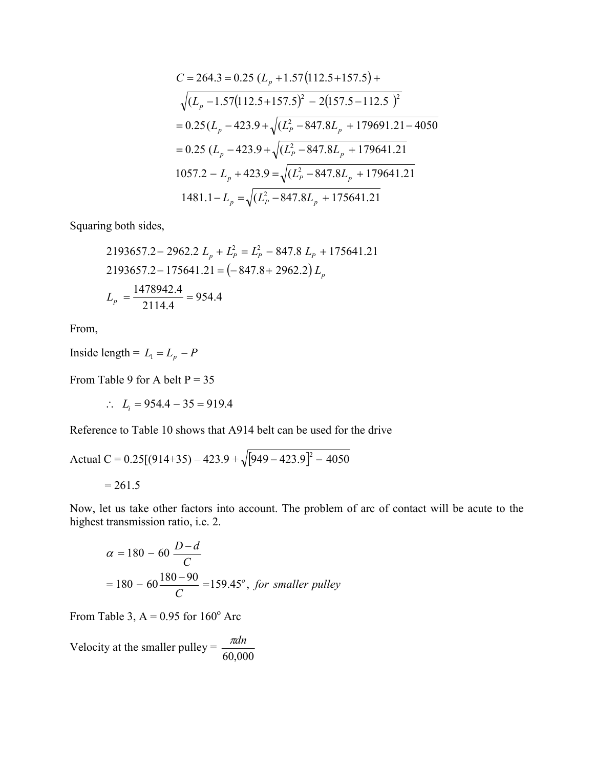$$
C = 264.3 = 0.25 (L_p + 1.57(112.5 + 157.5) +
$$
  
\n
$$
\sqrt{(L_p - 1.57(112.5 + 157.5)^2 - 2(157.5 - 112.5)^2}
$$
  
\n= 0.25 (L\_p - 423.9 +  $\sqrt{(L_p^2 - 847.8L_p + 179691.21 - 4050)}$   
\n= 0.25 (L\_p - 423.9 +  $\sqrt{(L_p^2 - 847.8L_p + 179641.21)}$   
\n1057.2 - L\_p + 423.9 =  $\sqrt{(L_p^2 - 847.8L_p + 179641.21)}$   
\n1481.1 - L\_p =  $\sqrt{(L_p^2 - 847.8L_p + 175641.21)}$ 

Squaring both sides,

2193657.2- 2962.2 
$$
L_p + L_p^2 = L_p^2
$$
 - 847.8  $L_p$  + 175641.21  
2193657.2- 175641.21 = (-847.8 + 2962.2)  $L_p$   
 $L_p = \frac{1478942.4}{2114.4} = 954.4$ 

From,

Inside length =  $L_1 = L_p - P$ 

From Table 9 for A belt  $P = 35$ 

 $\therefore L_i = 954.4 - 35 = 919.4$ 

Reference to Table 10 shows that A914 belt can be used for the drive

Actual C = 0.25[(914+35) – 423.9 + 
$$
\sqrt{[949 - 423.9]^2 - 4050}
$$
  
= 261.5

Now, let us take other factors into account. The problem of arc of contact will be acute to the highest transmission ratio, i.e. 2.

$$
\alpha = 180 - 60 \frac{D - d}{C}
$$
  
= 180 - 60  $\frac{180 - 90}{C}$  = 159.45°, for smaller pulley

From Table 3,  $A = 0.95$  for  $160^{\circ}$  Arc

Velocity at the smaller pulley =  $\frac{\pi d n}{60,000}$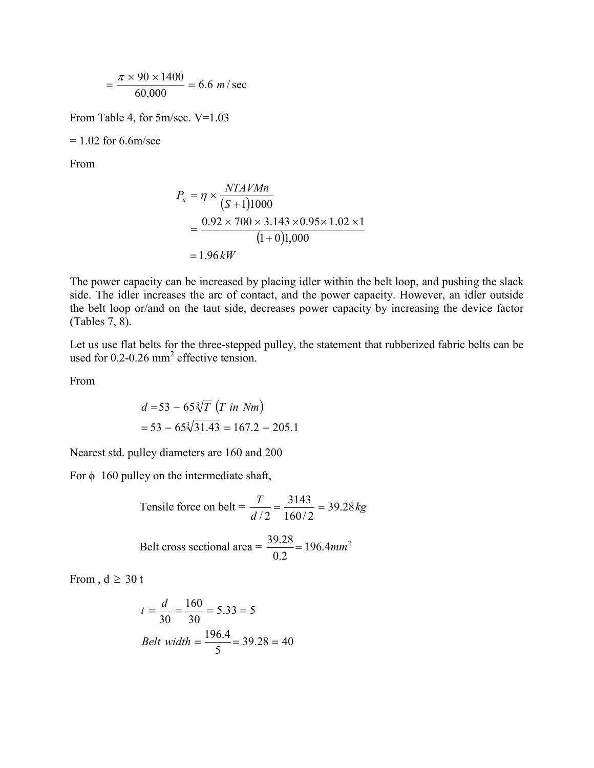$$
= \frac{\pi \times 90 \times 1400}{60,000} = 6.6 \text{ m/sec}
$$

From Table 4, for 5m/sec. V=1.03

 $= 1.02$  for 6.6m/sec

From

$$
P_n = \eta \times \frac{NTAVMn}{(S+1)1000}
$$
  
= 
$$
\frac{0.92 \times 700 \times 3.143 \times 0.95 \times 1.02 \times 1}{(1+0)1,000}
$$
  
= 1.96 kW

The power capacity can be increased by placing idler within the belt loop, and pushing the slack side. The idler increases the arc of contact, and the power capacity. However, an idler outside the belt loop or/and on the taut side, decreases power capacity by increasing the device factor (Tables 7, 8).

Let us use flat belts for the three-stepped pulley, the statement that rubberized fabric belts can be used for  $0.2$ -0.26 mm<sup>2</sup> effective tension.

From

$$
d = 53 - 65\sqrt[3]{T} (T \text{ in } Nm)
$$
  
= 53 - 65 $\sqrt[3]{31.43}$  = 167.2 - 205.1

Nearest std. pulley diameters are 160 and 200

For  $\phi$  160 pulley on the intermediate shaft,

Tensile force on belt = 
$$
\frac{T}{d/2} = \frac{3143}{160/2} = 39.28 kg
$$
  
Belt cross sectional area =  $\frac{39.28}{0.2} = 196.4 mm^2$ 

From ,  $d \geq 30$  t

$$
t = \frac{d}{30} = \frac{160}{30} = 5.33 = 5
$$
  
Belt width =  $\frac{196.4}{5} = 39.28 = 40$